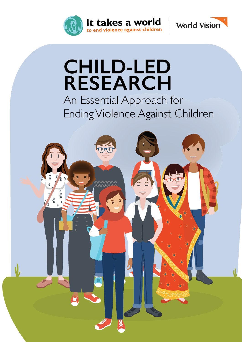



# **CHILD-LED RESEARCH**

An Essential Approach for Ending Violence Against Children

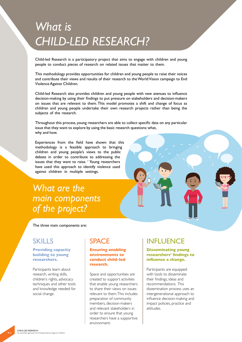# *What is CHILD-LED RESEARCH?*

Child-led Research is a participatory project that aims to engage with children and young people to conduct pieces of research on related issues that matter to them.

This methodology provides opportunities for children and young people to raise their voices and contribute their views and results of their research to the World Vision campaign to End Violence Against Children.

Child-led Research also provides children and young people with new avenues to influence decision-making by using their findings to put pressure on stakeholders and decision-makers on issues that are relevant to them. This model promotes a shift and change of focus as children and young people undertake their own research projects rather than being the subjects of the research.

Throughout this process, young researchers are able to collect specific data on any particular issue that they want to explore by using the basic research questions: what, why and how.

Experiences from the field have shown that this methodology is a feasible approach to bringing children and young people's views to the public debate in order to contribute to addressing the issues that they want to raise. <sup>I</sup> Young researchers have used this approach to identify violence used against children in multiple settings.

## *What are the main components of the project?*



The three main components are:

#### **Providing capacity building to young researchers.**

Participants learn about research, writing skills, children's rights, advocacy techniques and other tools and knowledge needed for social change.

#### **Ensuring enabling environments to conduct child-led research.**

Space and opportunities are created to support activities that enable young researchers to share their views on issues relevant to them. This includes preparation of community members, decision-makers and relevant stakeholders in order to ensure that young researchers have a supportive environment.

### SKILLS | SPACE | INFLUENCE

#### **Disseminating young researchers' findings to influence a change.**

Participants are equipped with tools to disseminate their findings, ideas and recommendations. This dissemination process uses an intergenerational approach to influence decision-making and impact policies, practice and attitudes.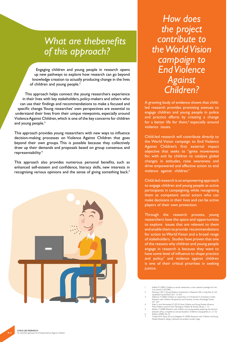# *What are thebenefits of this approach?*

Engaging children and young people in research opens up new pathways to explore how research can go beyond knowledge creation to actually producing change in the lives of children and young people.<sup>2</sup>

This approach helps connect the young researchers experience in their lives with key stakeholders, policy-makers and others who can use their findings and recommendations to make a focused and specific change. Young researches' own perspectives are essential to understand their lives from their unique viewpoints, especially around Violence Against Children, which is one of the key concerns for children and young people.<sup>3</sup>

This approach provides young researchers with new ways to influence decision-making processes on Violence Against Children that goes beyond their own groups. This is possible because they collectively draw up their demands and proposals based on group consensus and representability.4

This approach also provides numerous personal benefits, such as enhanced self-esteem and confidence, literacy skills, new interests in recognising various opinions and the sense of giving something back.<sup>5</sup>



*How does the project contribute to the World Vision campaign to End Violence Against Children?*

A growing body of evidence shows that childled research provides promising avenues to engage children and young people in police and practice efforts by creating a change for a better life for them,<sup>6</sup> especially around violence issues.

Child-led research will contribute directly to the World Vision campaign to End Violence Against Children's first external impact objective that seeks to "ignite movements for, with and by children to catalyse global changes in attitudes, raise awareness and drive empowered and effective action to end violence against children."

Child-led research is an empowering approach to engage children and young people as active participants in campaigning, while recognising them as competent social actors who can make decisions in their lives and can be active players of their own protection.

Through the research process, young researchers have the space and opportunities to explore issues that are relevant to them and enable them to provide recommendations for action to World Vision and a broad range of stakeholders. Studies have proven that one of the reasons why children and young people engage in research is because they want to have some level of influence to shape practice and  $\text{policy},^7$  and violence against children is one of their critical priorities in seeking justice.

- 
- 
- 
- 241–257<br>
4. Shier, H. and Hernandez, M. (2014) How Children and Young People Influence<br>
Policy-Makers: Lessons from Nicaragua, Children & Society, 28, pp. 1–14.<br>
5. Skelton, T. (2008) Research with children and young peopl
- 7. Tisdall, E.K.M, Davis, J.M. and Gallagher, M. (2009) Research with Children and Young People: Research design, methods and analysis, London: Sage.

<sup>1.</sup> Kellett, M. (2005) Children as active researchers: a new research paradigm for the<br>21 st century? UK: ESRC.<br>22 Ferning. J. (2011) Young Peopless Involvement in Research: Still a Long Way to Go?<br>23. Alderson P (2000) Chi